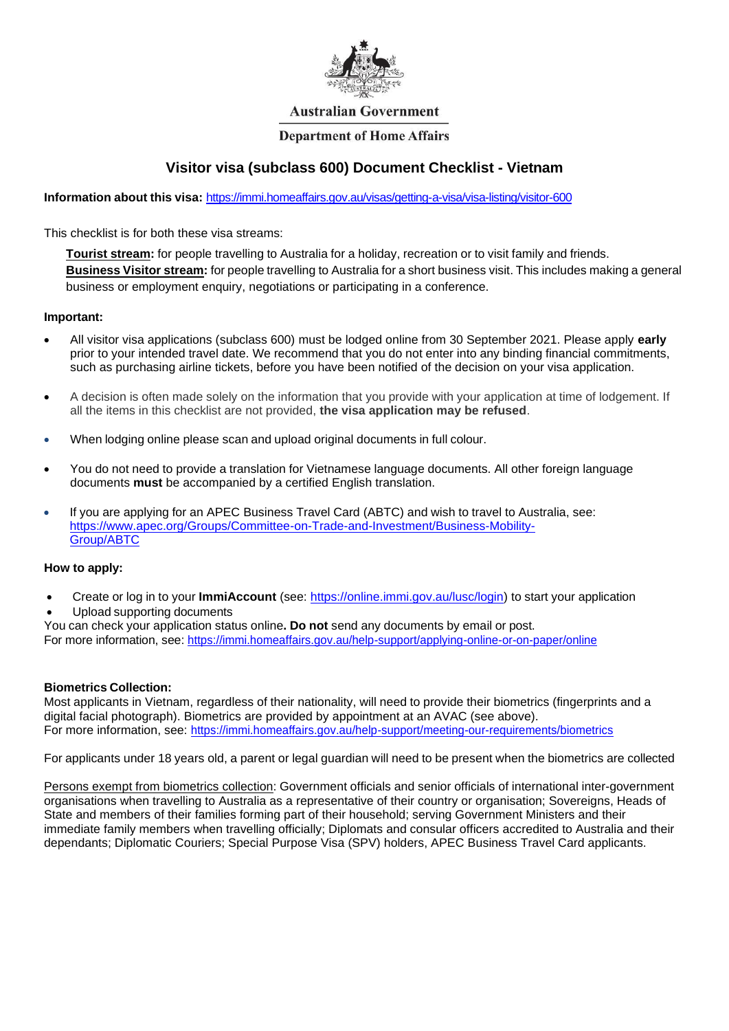

#### **Australian Government**

#### **Department of Home Affairs**

# **Visitor visa (subclass 600) Document Checklist - Vietnam**

**Information about this visa:** <https://immi.homeaffairs.gov.au/visas/getting-a-visa/visa-listing/visitor-600>

This checklist is for both these visa streams:

**Tourist stream:** for people travelling to Australia for a holiday, recreation or to visit family and friends. **Business Visitor stream:** for people travelling to Australia for a short business visit. This includes making a general business or employment enquiry, negotiations or participating in a conference.

#### **Important:**

- All visitor visa applications (subclass 600) must be lodged online from 30 September 2021. Please apply **early**  prior to your intended travel date. We recommend that you do not enter into any binding financial commitments, such as purchasing airline tickets, before you have been notified of the decision on your visa application.
- A decision is often made solely on the information that you provide with your application at time of lodgement. If all the items in this checklist are not provided, **the visa application may be refused**.
- When lodging online please scan and upload original documents in full colour.
- You do not need to provide a translation for Vietnamese language documents. All other foreign language documents **must** be accompanied by a certified English translation.
- If you are applying for an APEC Business Travel Card (ABTC) and wish to travel to Australia, see: [https://www.apec.org/Groups/Committee-on-Trade-and-Investment/Business-Mobility-](https://www.apec.org/Groups/Committee-on-Trade-and-Investment/Business-Mobility-Group/ABTC)[Group/ABTC](https://www.apec.org/Groups/Committee-on-Trade-and-Investment/Business-Mobility-Group/ABTC)

#### **How to apply:**

- Create or log in to your **ImmiAccount** (see: [https://online.immi.gov.au/lusc/login\)](https://online.immi.gov.au/lusc/login) to start your application
- Upload supporting documents

You can check your application status online**. Do not** send any documents by email or post. For more information, see:<https://immi.homeaffairs.gov.au/help-support/applying-online-or-on-paper/online>

#### **Biometrics Collection:**

Most applicants in Vietnam, regardless of their nationality, will need to provide their biometrics (fingerprints and a digital facial photograph). Biometrics are provided by appointment at an AVAC (see above). For more information, see:<https://immi.homeaffairs.gov.au/help-support/meeting-our-requirements/biometrics>

For applicants under 18 years old, a parent or legal guardian will need to be present when the biometrics are collected

Persons exempt from biometrics collection: Government officials and senior officials of international inter-government organisations when travelling to Australia as a representative of their country or organisation; Sovereigns, Heads of State and members of their families forming part of their household; serving Government Ministers and their immediate family members when travelling officially; Diplomats and consular officers accredited to Australia and their dependants; Diplomatic Couriers; Special Purpose Visa (SPV) holders, APEC Business Travel Card applicants.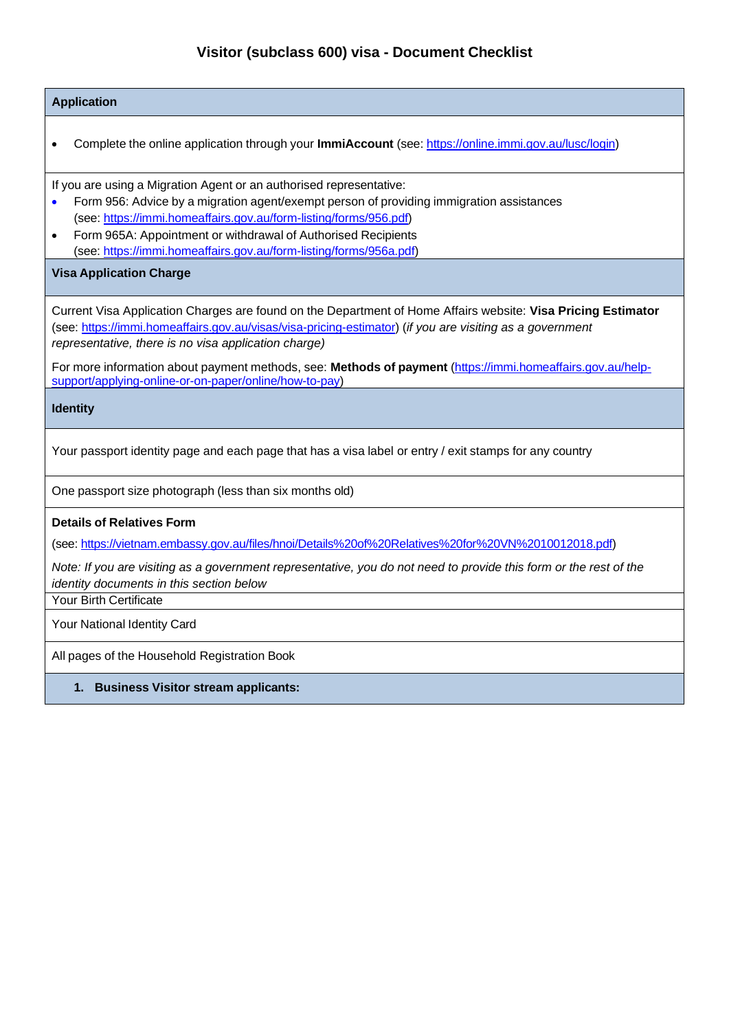# **Visitor (subclass 600) visa - Document Checklist**

| <b>Application</b>                                                                                                                                                                                                                                                                                                                                                                                    |
|-------------------------------------------------------------------------------------------------------------------------------------------------------------------------------------------------------------------------------------------------------------------------------------------------------------------------------------------------------------------------------------------------------|
| Complete the online application through your ImmiAccount (see: https://online.immi.gov.au/lusc/login)                                                                                                                                                                                                                                                                                                 |
| If you are using a Migration Agent or an authorised representative:<br>Form 956: Advice by a migration agent/exempt person of providing immigration assistances<br>$\bullet$<br>(see: https://immi.homeaffairs.gov.au/form-listing/forms/956.pdf)<br>Form 965A: Appointment or withdrawal of Authorised Recipients<br>$\bullet$<br>(see: https://immi.homeaffairs.gov.au/form-listing/forms/956a.pdf) |
| <b>Visa Application Charge</b>                                                                                                                                                                                                                                                                                                                                                                        |
| Current Visa Application Charges are found on the Department of Home Affairs website: Visa Pricing Estimator<br>(see: https://immi.homeaffairs.gov.au/visas/visa-pricing-estimator) (if you are visiting as a government<br>representative, there is no visa application charge)                                                                                                                      |
| For more information about payment methods, see: Methods of payment (https://immi.homeaffairs.gov.au/help-<br>support/applying-online-or-on-paper/online/how-to-pay)                                                                                                                                                                                                                                  |
| <b>Identity</b>                                                                                                                                                                                                                                                                                                                                                                                       |
| Your passport identity page and each page that has a visa label or entry / exit stamps for any country                                                                                                                                                                                                                                                                                                |
| One passport size photograph (less than six months old)                                                                                                                                                                                                                                                                                                                                               |
| <b>Details of Relatives Form</b>                                                                                                                                                                                                                                                                                                                                                                      |
| (see: https://vietnam.embassy.gov.au/files/hnoi/Details%20of%20Relatives%20for%20VN%2010012018.pdf)                                                                                                                                                                                                                                                                                                   |
| Note: If you are visiting as a government representative, you do not need to provide this form or the rest of the<br>identity documents in this section below                                                                                                                                                                                                                                         |
| <b>Your Birth Certificate</b>                                                                                                                                                                                                                                                                                                                                                                         |
| Your National Identity Card                                                                                                                                                                                                                                                                                                                                                                           |
| All pages of the Household Registration Book                                                                                                                                                                                                                                                                                                                                                          |

**1. Business Visitor stream applicants:**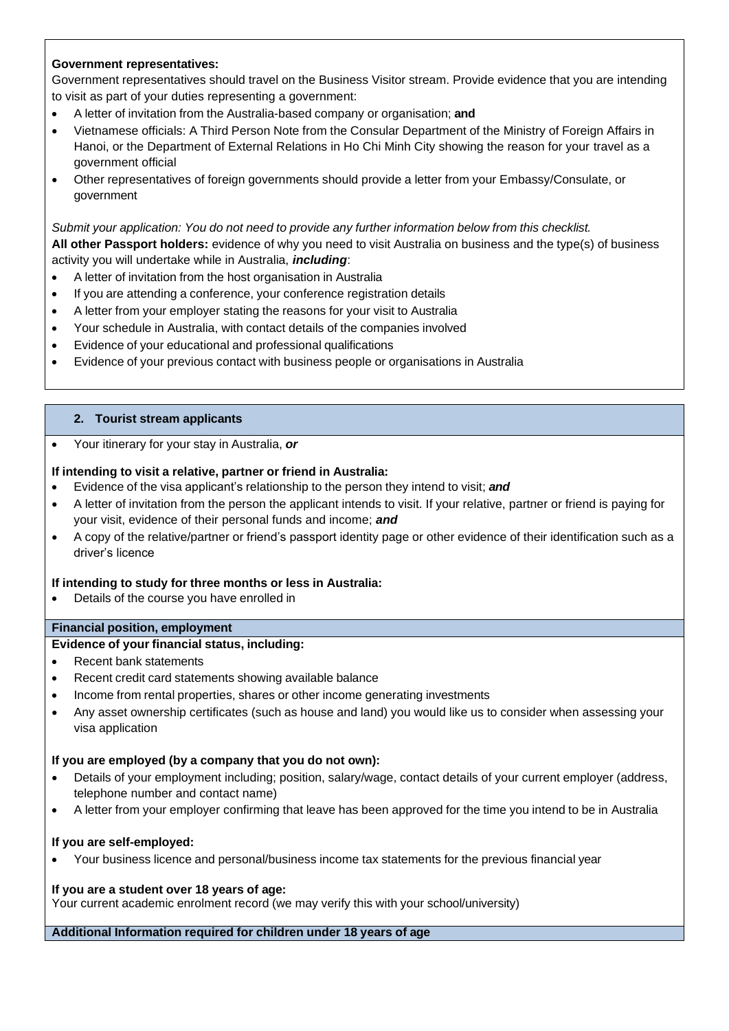### **Government representatives:**

Government representatives should travel on the Business Visitor stream. Provide evidence that you are intending to visit as part of your duties representing a government:

- A letter of invitation from the Australia-based company or organisation; **and**
- Vietnamese officials: A Third Person Note from the Consular Department of the Ministry of Foreign Affairs in Hanoi, or the Department of External Relations in Ho Chi Minh City showing the reason for your travel as a government official
- Other representatives of foreign governments should provide a letter from your Embassy/Consulate, or government

#### *Submit your application: You do not need to provide any further information below from this checklist.*

**All other Passport holders:** evidence of why you need to visit Australia on business and the type(s) of business activity you will undertake while in Australia, *including*:

- A letter of invitation from the host organisation in Australia
- If you are attending a conference, your conference registration details
- A letter from your employer stating the reasons for your visit to Australia
- Your schedule in Australia, with contact details of the companies involved
- Evidence of your educational and professional qualifications
- Evidence of your previous contact with business people or organisations in Australia

#### **2. Tourist stream applicants**

• Your itinerary for your stay in Australia, *or*

#### **If intending to visit a relative, partner or friend in Australia:**

- Evidence of the visa applicant's relationship to the person they intend to visit; *and*
- A letter of invitation from the person the applicant intends to visit. If your relative, partner or friend is paying for your visit, evidence of their personal funds and income; *and*
- A copy of the relative/partner or friend's passport identity page or other evidence of their identification such as a driver's licence

#### **If intending to study for three months or less in Australia:**

• Details of the course you have enrolled in

#### **Financial position, employment**

#### **Evidence of your financial status, including:**

- Recent bank statements
- Recent credit card statements showing available balance
- Income from rental properties, shares or other income generating investments
- Any asset ownership certificates (such as house and land) you would like us to consider when assessing your visa application

#### **If you are employed (by a company that you do not own):**

- Details of your employment including; position, salary/wage, contact details of your current employer (address, telephone number and contact name)
- A letter from your employer confirming that leave has been approved for the time you intend to be in Australia

#### **If you are self-employed:**

• Your business licence and personal/business income tax statements for the previous financial year

#### **If you are a student over 18 years of age:**

Your current academic enrolment record (we may verify this with your school/university)

## **Additional Information required for children under 18 years of age**